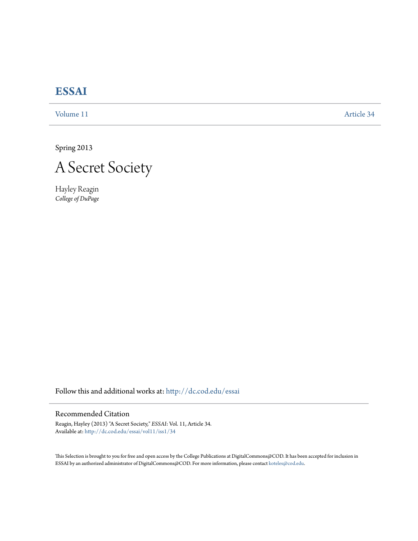## **[ESSAI](http://dc.cod.edu/essai?utm_source=dc.cod.edu%2Fessai%2Fvol11%2Fiss1%2F34&utm_medium=PDF&utm_campaign=PDFCoverPages)**

[Volume 11](http://dc.cod.edu/essai/vol11?utm_source=dc.cod.edu%2Fessai%2Fvol11%2Fiss1%2F34&utm_medium=PDF&utm_campaign=PDFCoverPages) [Article 34](http://dc.cod.edu/essai/vol11/iss1/34?utm_source=dc.cod.edu%2Fessai%2Fvol11%2Fiss1%2F34&utm_medium=PDF&utm_campaign=PDFCoverPages)

Spring 2013



Hayley Reagin *College of DuPage*

Follow this and additional works at: [http://dc.cod.edu/essai](http://dc.cod.edu/essai?utm_source=dc.cod.edu%2Fessai%2Fvol11%2Fiss1%2F34&utm_medium=PDF&utm_campaign=PDFCoverPages)

## Recommended Citation

Reagin, Hayley (2013) "A Secret Society," *ESSAI*: Vol. 11, Article 34. Available at: [http://dc.cod.edu/essai/vol11/iss1/34](http://dc.cod.edu/essai/vol11/iss1/34?utm_source=dc.cod.edu%2Fessai%2Fvol11%2Fiss1%2F34&utm_medium=PDF&utm_campaign=PDFCoverPages)

This Selection is brought to you for free and open access by the College Publications at DigitalCommons@COD. It has been accepted for inclusion in ESSAI by an authorized administrator of DigitalCommons@COD. For more information, please contact [koteles@cod.edu](mailto:koteles@cod.edu).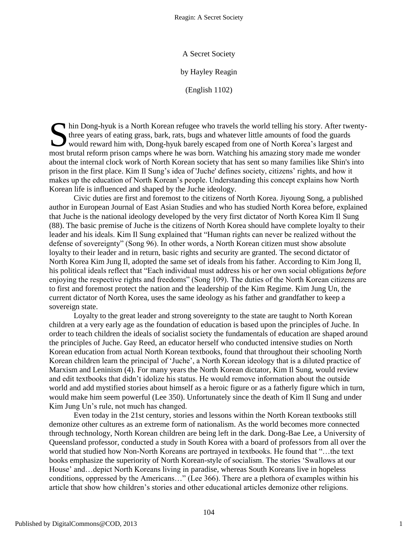A Secret Society

by Hayley Reagin

(English 1102)

hin Dong-hyuk is a North Korean refugee who travels the world telling his story. After twenty-<br>three years of eating grass, bark, rats, bugs and whatever little amounts of food the guards<br>would reward him with, Dong-hyuk b three years of eating grass, bark, rats, bugs and whatever little amounts of food the guards would reward him with, Dong-hyuk barely escaped from one of North Korea's largest and most brutal reform prison camps where he was born. Watching his amazing story made me wonder about the internal clock work of North Korean society that has sent so many families like Shin's into prison in the first place. Kim Il Sung's idea of 'Juche' defines society, citizens' rights, and how it makes up the education of North Korean's people. Understanding this concept explains how North Korean life is influenced and shaped by the Juche ideology.

Civic duties are first and foremost to the citizens of North Korea. Jiyoung Song, a published author in European Journal of East Asian Studies and who has studied North Korea before, explained that Juche is the national ideology developed by the very first dictator of North Korea Kim Il Sung (88). The basic premise of Juche is the citizens of North Korea should have complete loyalty to their leader and his ideals. Kim Il Sung explained that "Human rights can never be realized without the defense of sovereignty" (Song 96). In other words, a North Korean citizen must show absolute loyalty to their leader and in return, basic rights and security are granted. The second dictator of North Korea Kim Jung Il, adopted the same set of ideals from his father. According to Kim Jong Il, his political ideals reflect that "Each individual must address his or her own social obligations *before* enjoying the respective rights and freedoms" (Song 109). The duties of the North Korean citizens are to first and foremost protect the nation and the leadership of the Kim Regime. Kim Jung Un, the current dictator of North Korea, uses the same ideology as his father and grandfather to keep a sovereign state.

Loyalty to the great leader and strong sovereignty to the state are taught to North Korean children at a very early age as the foundation of education is based upon the principles of Juche. In order to teach children the ideals of socialist society the fundamentals of education are shaped around the principles of Juche. Gay Reed, an educator herself who conducted intensive studies on North Korean education from actual North Korean textbooks, found that throughout their schooling North Korean children learn the principal of 'Juche', a North Korean ideology that is a diluted practice of Marxism and Leninism (4). For many years the North Korean dictator, Kim Il Sung, would review and edit textbooks that didn't idolize his status. He would remove information about the outside world and add mystified stories about himself as a heroic figure or as a fatherly figure which in turn, would make him seem powerful (Lee 350). Unfortunately since the death of Kim Il Sung and under Kim Jung Un's rule, not much has changed.

Even today in the 21st century, stories and lessons within the North Korean textbooks still demonize other cultures as an extreme form of nationalism. As the world becomes more connected through technology, North Korean children are being left in the dark. Dong-Bae Lee, a University of Queensland professor, conducted a study in South Korea with a board of professors from all over the world that studied how Non-North Koreans are portrayed in textbooks. He found that "...the text books emphasize the superiority of North Korean-style of socialism. The stories 'Swallows at our House' and…depict North Koreans living in paradise, whereas South Koreans live in hopeless conditions, oppressed by the Americans..." (Lee 366). There are a plethora of examples within his article that show how children's stories and other educational articles demonize other religions.

1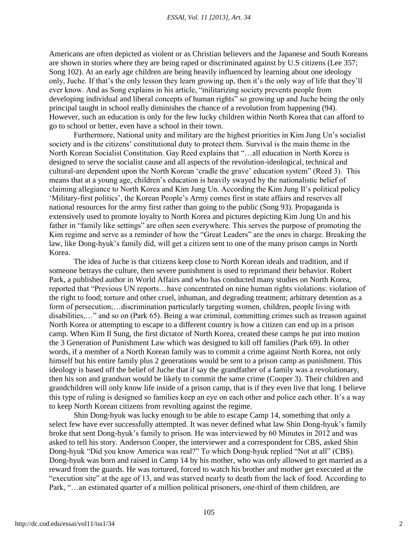Americans are often depicted as violent or as Christian believers and the Japanese and South Koreans are shown in stories where they are being raped or discriminated against by U.S citizens (Lee 357; Song 102). At an early age children are being heavily influenced by learning about one ideology only, Juche. If that's the only lesson they learn growing up, then it's the only way of life that they'll ever know. And as Song explains in his article, "militarizing society prevents people from developing individual and liberal concepts of human rights" so growing up and Juche being the only principal taught in school really diminishes the chance of a revolution from happening (94). However, such an education is only for the few lucky children within North Korea that can afford to go to school or better, even have a school in their town.

Furthermore, National unity and military are the highest priorities in Kim Jung Un's socialist society and is the citizens' constitutional duty to protect them. Survival is the main theme in the North Korean Socialist Constitution. Gay Reed explains that "...all education in North Korea is designed to serve the socialist cause and all aspects of the revolution-ideological, technical and cultural-are dependent upon the North Korean 'cradle the grave' education system" (Reed 3). This means that at a young age, children's education is heavily swayed by the nationalistic belief of claiming allegiance to North Korea and Kim Jung Un. According the Kim Jung Il's political policy ‗Military-first politics', the Korean People's Army comes first in state affairs and reserves all national resources for the army first rather than going to the public (Song 93). Propaganda is extensively used to promote loyalty to North Korea and pictures depicting Kim Jung Un and his father in "family like settings" are often seen everywhere. This serves the purpose of promoting the Kim regime and serve as a reminder of how the "Great Leaders" are the ones in charge. Breaking the law, like Dong-hyuk's family did, will get a citizen sent to one of the many prison camps in North Korea.

The idea of Juche is that citizens keep close to North Korean ideals and tradition, and if someone betrays the culture, then severe punishment is used to reprimand their behavior. Robert Park, a published author in World Affairs and who has conducted many studies on North Korea, reported that "Previous UN reports...have concentrated on nine human rights violations: violation of the right to food; torture and other cruel, inhuman, and degrading treatment; arbitrary detention as a form of persecution;... discrimination particularly targeting women, children, people living with disabilities,..." and so on (Park 65). Being a war criminal, committing crimes such as treason against North Korea or attempting to escape to a different country is how a citizen can end up in a prison camp. When Kim Il Sung, the first dictator of North Korea, created these camps he put into motion the 3 Generation of Punishment Law which was designed to kill off families (Park 69). In other words, if a member of a North Korean family was to commit a crime against North Korea, not only himself but his entire family plus 2 generations would be sent to a prison camp as punishment. This ideology is based off the belief of Juche that if say the grandfather of a family was a revolutionary, then his son and grandson would be likely to commit the same crime (Cooper 3). Their children and grandchildren will only know life inside of a prison camp, that is if they even live that long. I believe this type of ruling is designed so families keep an eye on each other and police each other. It's a way to keep North Korean citizens from revolting against the regime.

Shin Dong-hyuk was lucky enough to be able to escape Camp 14, something that only a select few have ever successfully attempted. It was never defined what law Shin Dong-hyuk's family broke that sent Dong-hyuk's family to prison. He was interviewed by 60 Minutes in 2012 and was asked to tell his story. Anderson Cooper, the interviewer and a correspondent for CBS, asked Shin Dong-hyuk "Did you know America was real?" To which Dong-hyuk replied "Not at all" (CBS). Dong-hyuk was born and raised in Camp 14 by his mother, who was only allowed to get married as a reward from the guards. He was tortured, forced to watch his brother and mother get executed at the "execution site" at the age of 13, and was starved nearly to death from the lack of food. According to Park, "...an estimated quarter of a million political prisoners, one-third of them children, are

2